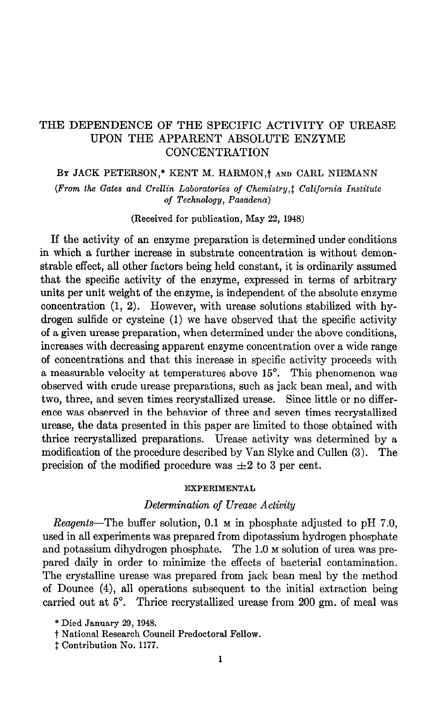# THE DEPENDENCE OF THE SPECIFIC ACTIVITY OF UREASE UPON THE APPARENT ABSOLUTE ENZYME CONCENTRATION

# BY JACK PETERSON,\* KENT M. HARMON,<sup>†</sup> AND CARL NIEMANN

(From the Gates and Crellin Laboratories of Chemistry,<sup>†</sup> California Institute of Technology, Pasadena)

(Received for publication, May 22, 1948)

If the activity of an enzyme preparation is determined under conditions in which a further increase in substrate concentration is without demonstrable effect, all other factors being held constant, it is ordinarily assumed that the specific activity of the enzyme, expressed in terms of arbitrary units per unit weight of the enzyme, is independent of the absolute enzyme concentration (1, 2). However, with urease solutions stabilized with hydrogen sulfide or cysteine (1) we have observed that the specific activity of a given urease preparation, when determined under the above conditions, increases with decreasing apparent enzyme concentration over a wide range of concentrations and that this increase in specific activity proceeds with a measurable velocity at temperatures above 15°. This phenomenon was observed with crude urease preparations, such as jack bean meal, and with two, three, and seven times recrystallized urease. Since little or no difference was observed in the behavior of three and seven times recrystallized urease, the data presented in this paper are limited to those obtained with thrice recrystallized preparations. Urease activity was determined by a modification of the procedure described by Van Slyke and Cullen (3). The precision of the modified procedure was  $\pm 2$  to 3 per cent.

### EXPERIMENTAL

## Determination of Urease Activity

Reagents-The buffer solution, 0.1  $\mu$  in phosphate adjusted to pH 7.0, used in all experiments was prepared from dipotassium hydrogen phosphate and potassium dihydrogen phosphate. The 1.0 M solution of urea was prepared daily in order to minimize the effects of bacterial contamination. The crystalline urease was prepared from jack bean meal by the method of Dounce (4), all operations subsequent to the initial extraction being carried out at 5°. Thrice recrystallized urease from 200 gm. of meal was

<sup>\*</sup> Died January 29, 1948.

t National Research Council Predoctoral Fellow.

 $†$  Contribution No. 1177.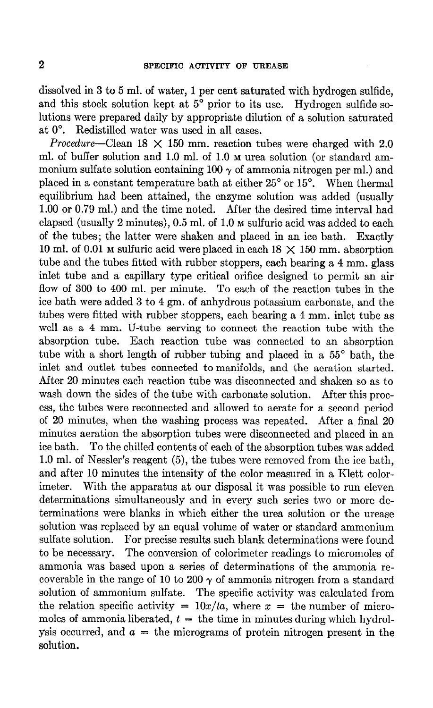dissolved in 3 to 5 ml. of water, 1 per cent saturated with hydrogen sulfide, and this stock solution kept at  $5^{\circ}$  prior to its use. Hydrogen sulfide solutions were prepared daily by appropriate dilution of a solution saturated at 0". Redistilled water was used in all cases.

Procedure–Clean  $18 \times 150$  mm. reaction tubes were charged with 2.0 ml. of buffer solution and 1.0 ml. of 1.0 m urea solution (or standard ammonium sulfate solution containing 100  $\gamma$  of ammonia nitrogen per ml.) and placed in a constant temperature bath at either 25" or 15". When thermal equilibrium had been attained, the enzyme solution was added (usually 1.00 or 0.79 ml.) and the time noted. After the desired time interval had elapsed (usually 2 minutes), 0.5 ml. of 1.0 M sulfuric acid was added to each of the tubes; the latter were shaken and placed in an ice bath. Exactly 10 ml. of 0.01 M sulfuric acid were placed in each  $18 \times 150$  mm. absorption tube and the tubes fitted with rubber stoppers, each bearing a 4 mm. glass inlet tube and a capillary type critical orifice designed to permit an air flow of 300 to 400 ml. per minute. To each of the reaction tubes in the ice bath were added 3 to 4 gm. of anhydrous potassium carbonate, and the tubes were fitted with rubber stoppers, each bearing a 4 mm. inlet tube as well as a 4 mm. U-tube serving to connect the reaction tube with the absorption tube. Each reaction tube was connected to an absorption tube with a short length of rubber tubing and placed in a 55<sup>°</sup> bath, the inlet and outlet tubes connected to manifolds, and the aeration started. After 20 minutes each reaction tube was disconnected and shaken so as to wash down the sides of the tube with carbonate solution. After this process, the tubes were reconnected and allowed to aerate for a second period of 20 minutes, when the washing process was repeated. After a final 20 minutes aeration the absorption tubes were disconnected and placed in an ice bath. To the chilled contents of each of the absorption tubes was added 1.0 ml. of Nessler's reagent (5), the tubes were removed from the ice bath, and after 10 minutes the intensity of the color measured in a Klett colorimeter. With the apparatus at our disposal it was possible to run eleven determinations simultaneously and in every such series two or more determinations were blanks in which either the urea solution or the urease solution was replaced by an equal volume of water or standard ammonium sulfate solution. For precise results such blank determinations were found to be necessary. The conversion of calorimeter readings to micromoles of ammonia was based upon a series of determinations of the ammonia recoverable in the range of 10 to 200  $\gamma$  of ammonia nitrogen from a standard solution of ammonium sulfate. The specific activity was calculated from the relation specific activity =  $10x/ta$ , where x = the number of micromoles of ammonia liberated,  $t =$  the time in minutes during which hydrolysis occurred, and  $a =$  the micrograms of protein nitrogen present in the solution.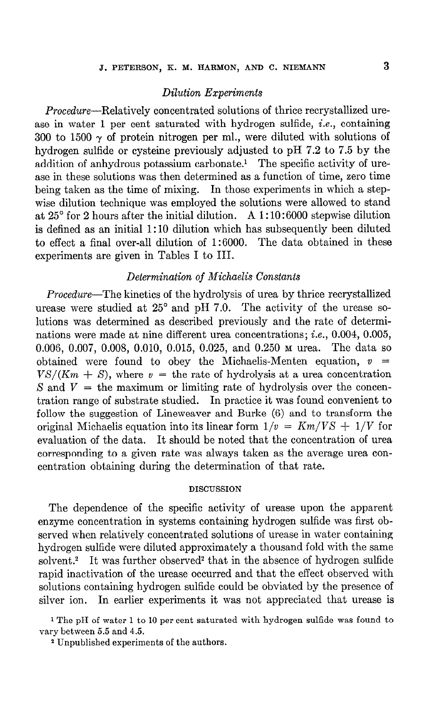# Dilution Experiments

Procedure-Relatively concentrated solutions of thrice recrystallized urease in water 1 per cent saturated with hydrogen sulfide, i.e., containing 300 to 1500  $\gamma$  of protein nitrogen per ml., were diluted with solutions of hydrogen sulfide or cysteine previously adjusted to pH 7.2 to 7.5 by the addition of anhydrous potassium carbonate.' The specific activity of urease in these solutions was then determined as a function of time, zero time being taken as the time of mixing. In those experiments in which a stepwise dilution technique was employed the solutions were allowed to stand at  $25^{\circ}$  for 2 hours after the initial dilution. A 1:10:6000 stepwise dilution is defined as an initial 1: 10 dilution which has subsequently been diluted to effect a final over-all dilution of 1:6000. The data obtained in these experiments are given in Tables I to III.

# Determination of Michaelis Constants

Procedure-The kinetics of the hydrolysis of urea by thrice recrystallized urease were studied at 25° and pH 7.0. The activity of the urease solutions was determined as described previously and the rate of determinations were made at nine different urea concentrations; i.e., 0.004, 0.005, 0.006, 0.007, 0.008, 0.010, 0.015, 0.025, and 0.250 M urea. The data so obtained were found to obey the Michaelis-Menten equation,  $v$  $VS/(Km + S)$ , where  $v =$  the rate of hydrolysis at a urea concentration S and  $V =$  the maximum or limiting rate of hydrolysis over the concentration range of substrate studied. In practice it was found convenient to follow the suggestion of Lineweaver and Burke (6) and to transform the original Michaelis equation into its linear form  $1/v = Km/VS + 1/V$  for evaluation of the data. It should be noted that the concentration of urea corresponding to a given rate was always taken as the average urea concentration obtaining during the determination of that rate.

## DISCUSSION

The dependence of the specific activity of urease upon the apparent enzyme concentration in systems containing hydrogen sulfide was first observed when relatively concentrated solutions of urease in water containing hydrogen sulfide were diluted approximately a thousand fold with the same solvent.<sup>2</sup> It was further observed<sup>2</sup> that in the absence of hydrogen sulfide rapid inactivation of the urease occurred and that the effect observed with solutions containing hydrogen sulfide could be obviated by the presence of silver ion. In earlier experiments it was not appreciated that urease is

<sup>1</sup> The pH of water 1 to 10 per cent saturated with hydrogen sulfide was found to vary between 5.5 and 4.5.

\* Unpublished experiments of the authors.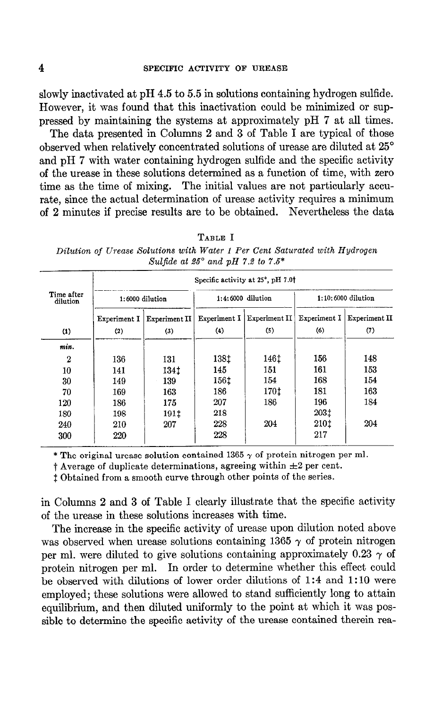slowly inactivated at pH 4.5 to 5.5 in solutions containing hydrogen sulfide. However, it was found that this inactivation could be minimized or suppressed by maintaining the systems at approximately pH 7 at all times.

The data presented in Columns 2 and 3 of Table I are typical of those observed when relatively concentrated solutions of urease are diluted at 25" and pH 7 with water containing hydrogen sulfide and the specific activity of the urease in these solutions determined as a function of time, with zero time as the time of mixing. The initial values are not particularly accurate, since the actual determination of urease activity requires a minimum of 2 minutes if precise results are to be obtained. Nevertheless the data

| 78<br><b>ABLE</b> |  |
|-------------------|--|
|                   |  |

Dilution of Urease Solutions with Water 1 Per Cent Saturated with Hydrogen Sulfide at  $25^{\circ}$  and pH 7.2 to 7.5\* -

|                        | Specific activity at 25°, pH 7.01 |               |                     |               |                      |               |  |
|------------------------|-----------------------------------|---------------|---------------------|---------------|----------------------|---------------|--|
| Time after<br>dilution | 1:6000 dilution                   |               | $1:4:6000$ dilution |               | $1:10:6000$ dilution |               |  |
|                        | Experiment I                      | Experiment II | Experiment I        | Experiment II | Experiment I         | Experiment II |  |
| (1)                    | (2)                               | (3)           | (4)                 | (5)           | (6)                  | (7)           |  |
| min.                   |                                   |               |                     |               |                      |               |  |
| 2                      | 136                               | 131           | 138 <sup>t</sup>    | 146 t         | 156                  | 148           |  |
| 10                     | 141                               | 134 t         | 145                 | 151           | 161                  | 153           |  |
| 30                     | 149                               | 139           | 1561                | 154           | 168                  | 154           |  |
| 70                     | 169                               | 163           | 186                 | 170f          | 181                  | 163           |  |
| 120                    | 186                               | 175           | 207                 | 186           | 196                  | 184           |  |
| 180                    | 198                               | 191t          | 218                 |               | 203 <sup>+</sup>     |               |  |
| 240                    | 210                               | 207           | 228                 | 204           | 210 <sup>t</sup>     | 204           |  |
| 300                    | 220                               |               | 228                 |               | 217                  |               |  |

\* The original urease solution contained 1365  $\gamma$  of protein nitrogen per ml.

t Average of duplicate determinations, agreeing within  $\pm 2$  per cent.

1 Obtained from a smooth curve through other points of the series.

in Columns 2 and 3 of Table I clearly illustrate that the specific activity of the urease in these solutions increases with time.

The increase in the specific activity of urease upon dilution noted above was observed when urease solutions containing 1365  $\gamma$  of protein nitrogen per ml. were diluted to give solutions containing approximately 0.23  $\gamma$  of protein nitrogen per ml. In order to determine whether this effect could be observed with dilutions of lower order dilutions of 1:4 and 1: 10 were employed; these solutions were allowed to stand sufficiently long to attain equilibrium, and then diluted uniformly to the point at which it was possible to determine the specific activity of the urease contained therein rea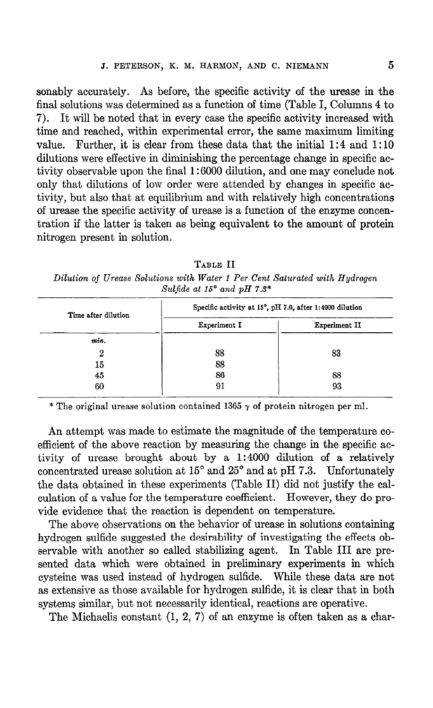sonably accurately. As before, the specific activity of the urease in the final solutions was determined as a function of time (Table I, Columns 4 to 7). It will be noted that in every case the specific activity increased with time and reached, within experimental error, the same maximum limiting value. Further, it is clear from these data that the initial 1:4 and 1: 10 dilutions were effective in diminishing the percentage change in specific activity observable upon the final 1: 6000 dilution, and one may conclude not only that dilutions of low order were attended by changes in specific activity, but also that at equilibrium and with relatively high concentrations of urease the specific activity of urease is a function of the enzyme concentration if the latter is taken as being equivalent to the amount of protein nitrogen present in solution.

TABLE II Dilution of Urease Solutions with Water 1 Per Cent Saturated with Hydrogen Sulfide at 15° and pH  $7.3*$ 

| Time after dilution | Specific activity at 15°, pH 7.0, after 1:4000 dilution |               |  |
|---------------------|---------------------------------------------------------|---------------|--|
|                     | Experiment I                                            | Experiment II |  |
| min.                |                                                         |               |  |
| 2                   | 88                                                      | 83            |  |
| 15                  | 88                                                      |               |  |
| 45                  | 86                                                      | 88            |  |
| 60                  | 91                                                      | 93            |  |

\* The original urease solution contained 1365  $\gamma$  of protein nitrogen per ml.

An attempt was made to estimate the magnitude of the temperature coefficient of the above reaction by measuring the change in the specific activity of urease brought about by a 1:4000 dilution of a relatively concentrated urease solution at  $15^{\circ}$  and  $25^{\circ}$  and at pH 7.3. Unfortunately the data obtained in these experiments (Table II) did not justify the calculation of a value for the temperature coefficient. However, they do provide evidence that the reaction is dependent on temperature.

The above observations on the behavior of urease in solutions containing hydrogen sulfide suggested the desirability of investigating the effects observable with another so called stabilizing agent. In Table III are presented data which were obtained in preliminary experiments in which cysteine was used instead of hydrogen sulfide. While these data are not as extensive as those available for hydrogen sulfide, it is clear that in both systems similar, but not necessarily identical, reactions are operative.

The Michaelis constant (1, 2, 7) of an enzyme is often taken as a char-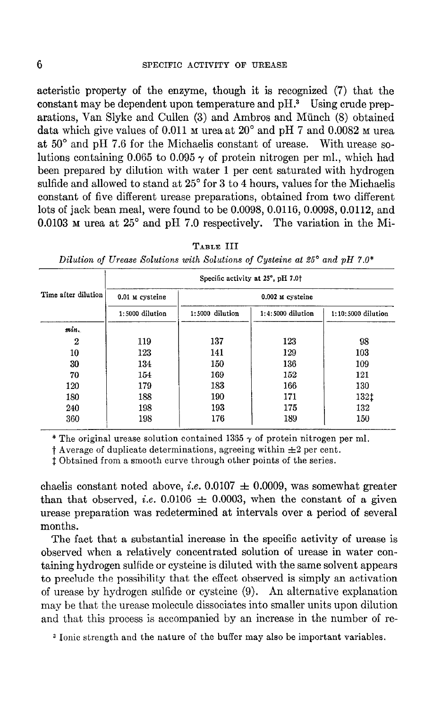## 6 SPECIFIC ACTIVITY OF UREASE

acteristic property of the enzyme, though it is recognized (7) that the constant may be dependent upon temperature and  $pH$ .<sup>3</sup> Using crude preparations, Van Slyke and Cullen (3) and Ambros and Munch (8) obtained data which give values of 0.011  $\mu$  urea at 20 $^{\circ}$  and pH 7 and 0.0082  $\mu$  urea at  $50^{\circ}$  and pH 7.6 for the Michaelis constant of urease. With urease solutions containing 0.065 to 0.095  $\gamma$  of protein nitrogen per ml., which had been prepared by dilution with water 1 per cent saturated with hydrogen sulfide and allowed to stand at  $25^{\circ}$  for 3 to 4 hours, values for the Michaelis constant of five different urease preparations, obtained from two different lots of jack bean meal, were found to be 0.0098, 0.0116, 0.0098, 0.0112, and 0.0103  $\mu$  urea at 25° and pH 7.0 respectively. The variation in the Mi-

| Specific activity at 25°, pH 7.0† |                   |                  |                     |                    |  |
|-----------------------------------|-------------------|------------------|---------------------|--------------------|--|
| Time after dilution               | 0.01 M cysteine   | 0.002 M cysteine |                     |                    |  |
|                                   | $1:5000$ dilution | 1:5000 dilution  | $1:4:5000$ dilution | 1:10:5000 dilution |  |
| min.                              |                   |                  |                     |                    |  |
| 2                                 | 119               | 137              | 123                 | 98                 |  |
| 10                                | 123               | 141              | 129                 | 103                |  |
| 30                                | 134               | 150              | 136                 | 109                |  |
| 70                                | 154               | 169              | 152                 | 121                |  |
| 120                               | 179               | 183              | 166                 | 130                |  |
| 180                               | 188               | 190              | 171                 | 132‡               |  |
| 240                               | 198               | 193              | 175                 | 132                |  |
| 360                               | 198               | 176              | 189                 | 150                |  |

TABLE III

Dilution of Urease Solutions with Solutions of Cysteine at 25° and pH 7.0\*

\* The original urease solution contained 1365  $\gamma$  of protein nitrogen per ml.

 $\dagger$  Average of duplicate determinations, agreeing within  $\pm 2$  per cent.

1 Obtained from a smooth curve through other points of the series.

chaelis constant noted above, *i.e.* 0.0107  $\pm$  0.0009, was somewhat greater than that observed, *i.e.* 0.0106  $\pm$  0.0003, when the constant of a given urease preparation was redetermined at intervals over a period of several months.

The fact that a substantial increase in the specific activity of urease is observed when a relatively concentrated solution of urease in water containing hydrogen sulfide or cysteine is diluted with the same solvent appears to preclude the possibility that the effect observed is simply an activation of urease by hydrogen sulfide or cysteine (9). An alternative explanation may be that the urease molecule dissociates into smaller units upon dilution and that this process is accompanied by an increase in the number of re-

3 Ionic strength and the nature of the buffer may also be important variables.